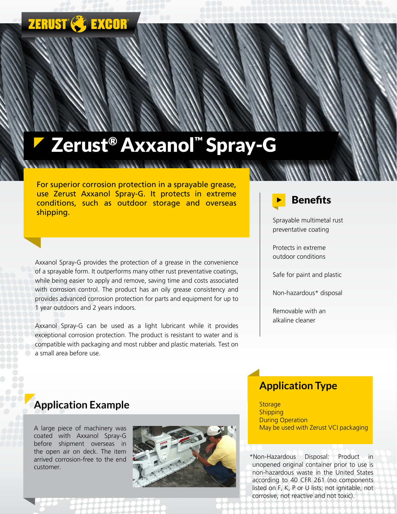# **ZERUST & EXCOR**

# Zerust® Axxanol™ Spray-G

For superior corrosion protection in a sprayable grease, use Zerust Axxanol Spray-G. It protects in extreme conditions, such as outdoor storage and overseas shipping.

Axxanol Spray-G provides the protection of a grease in the convenience of a sprayable form. It outperforms many other rust preventative coatings, while being easier to apply and remove, saving time and costs associated with corrosion control. The product has an oily grease consistency and provides advanced corrosion protection for parts and equipment for up to 1 year outdoors and 2 years indoors.

Axxanol Spray-G can be used as a light lubricant while it provides exceptional corrosion protection. The product is resistant to water and is compatible with packaging and most rubber and plastic materials. Test on a small area before use.



Sprayable multimetal rust preventative coating

Protects in extreme outdoor conditions

Safe for paint and plastic

Non-hazardous\* disposal

Removable with an alkaline cleaner

#### **Application Example**

A large piece of machinery was coated with Axxanol Spray-G before shipment overseas in the open air on deck. The item arrived corrosion-free to the end customer.



#### **Application Type**

**Storage Shipping** During Operation May be used with Zerust VCI packaging

\*Non-Hazardous Disposal: Product in unopened original container prior to use is non-hazardous waste in the United States according to 40 CFR 261 (no components listed on F, K, P or U lists; not ignitable, not corrosive, not reactive and not toxic).